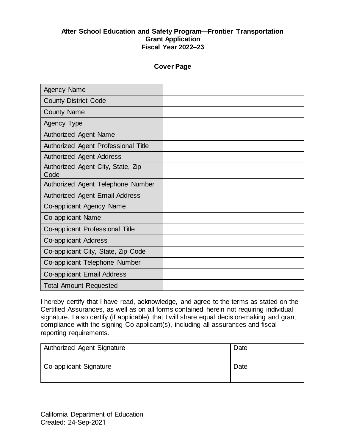## **Cover Page**

| <b>Agency Name</b>                        |  |
|-------------------------------------------|--|
| <b>County-District Code</b>               |  |
| <b>County Name</b>                        |  |
| Agency Type                               |  |
| Authorized Agent Name                     |  |
| Authorized Agent Professional Title       |  |
| <b>Authorized Agent Address</b>           |  |
| Authorized Agent City, State, Zip<br>Code |  |
| Authorized Agent Telephone Number         |  |
| <b>Authorized Agent Email Address</b>     |  |
| Co-applicant Agency Name                  |  |
| Co-applicant Name                         |  |
| Co-applicant Professional Title           |  |
| Co-applicant Address                      |  |
| Co-applicant City, State, Zip Code        |  |
| Co-applicant Telephone Number             |  |
| Co-applicant Email Address                |  |
| <b>Total Amount Requested</b>             |  |

 I hereby certify that I have read, acknowledge, and agree to the terms as stated on the Certified Assurances, as well as on all forms contained herein not requiring individual signature. I also certify (if applicable) that I will share equal decision-making and grant compliance with the signing Co-applicant(s), including all assurances and fiscal reporting requirements.

| Authorized Agent Signature | Date |
|----------------------------|------|
| Co-applicant Signature     | Date |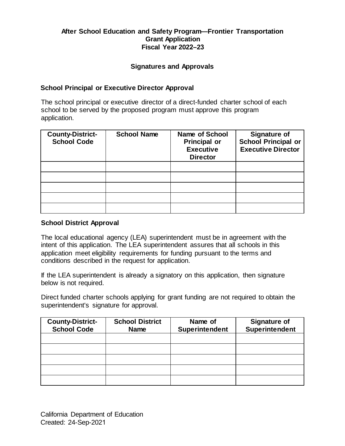#### **Signatures and Approvals**

#### **School Principal or Executive Director Approval**

 The school principal or executive director of a direct-funded charter school of each school to be served by the proposed program must approve this program application.

| <b>County-District-</b><br><b>School Code</b> | <b>School Name</b> | <b>Name of School</b><br><b>Principal or</b><br><b>Executive</b><br><b>Director</b> | <b>Signature of</b><br><b>School Principal or</b><br><b>Executive Director</b> |
|-----------------------------------------------|--------------------|-------------------------------------------------------------------------------------|--------------------------------------------------------------------------------|
|                                               |                    |                                                                                     |                                                                                |
|                                               |                    |                                                                                     |                                                                                |
|                                               |                    |                                                                                     |                                                                                |
|                                               |                    |                                                                                     |                                                                                |
|                                               |                    |                                                                                     |                                                                                |

#### **School District Approval**

 The local educational agency (LEA) superintendent must be in agreement with the intent of this application. The LEA superintendent assures that all schools in this application meet eligibility requirements for funding pursuant to the terms and conditions described in the request for application.

 If the LEA superintendent is already a signatory on this application, then signature below is not required.

 Direct funded charter schools applying for grant funding are not required to obtain the superintendent's signature for approval.

| <b>County-District-</b><br><b>School Code</b> | <b>School District</b><br><b>Name</b> | Name of<br><b>Superintendent</b> | <b>Signature of</b><br><b>Superintendent</b> |
|-----------------------------------------------|---------------------------------------|----------------------------------|----------------------------------------------|
|                                               |                                       |                                  |                                              |
|                                               |                                       |                                  |                                              |
|                                               |                                       |                                  |                                              |
|                                               |                                       |                                  |                                              |
|                                               |                                       |                                  |                                              |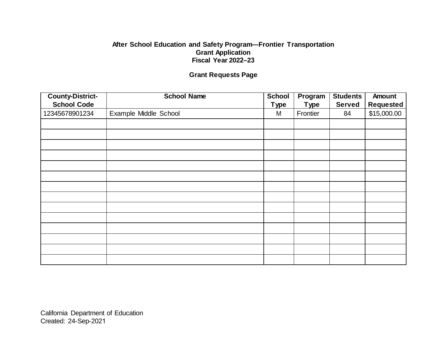# **Grant Requests Page**

| <b>County-District-</b> | <b>School Name</b>    | <b>School</b> | Program     | <b>Students</b> | Amount           |
|-------------------------|-----------------------|---------------|-------------|-----------------|------------------|
| <b>School Code</b>      |                       | <b>Type</b>   | <b>Type</b> | <b>Served</b>   | <b>Requested</b> |
| 12345678901234          | Example Middle School | M             | Frontier    | 84              | \$15,000.00      |
|                         |                       |               |             |                 |                  |
|                         |                       |               |             |                 |                  |
|                         |                       |               |             |                 |                  |
|                         |                       |               |             |                 |                  |
|                         |                       |               |             |                 |                  |
|                         |                       |               |             |                 |                  |
|                         |                       |               |             |                 |                  |
|                         |                       |               |             |                 |                  |
|                         |                       |               |             |                 |                  |
|                         |                       |               |             |                 |                  |
|                         |                       |               |             |                 |                  |
|                         |                       |               |             |                 |                  |
|                         |                       |               |             |                 |                  |
|                         |                       |               |             |                 |                  |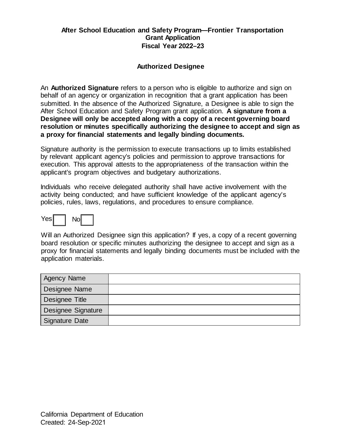## **Authorized Designee**

 behalf of an agency or organization in recognition that a grant application has been  After School Education and Safety Program grant application. **A signature from a Designee will only be accepted along with a copy of a recent governing board resolution or minutes specifically authorizing the designee to accept and sign as a proxy for financial statements and legally binding documents.**  An **Authorized Signature** refers to a person who is eligible to authorize and sign on submitted. In the absence of the Authorized Signature, a Designee is able to sign the

 Signature authority is the permission to execute transactions up to limits established by relevant applicant agency's policies and permission to approve transactions for applicant's program objectives and budgetary authorizations. execution. This approval attests to the appropriateness of the transaction within the

 Individuals who receive delegated authority shall have active involvement with the activity being conducted; and have sufficient knowledge of the applicant agency's policies, rules, laws, regulations, and procedures to ensure compliance.



 Will an Authorized Designee sign this application? If yes, a copy of a recent governing board resolution or specific minutes authorizing the designee to accept and sign as a proxy for financial statements and legally binding documents must be included with the application materials.

| <b>Agency Name</b> |  |
|--------------------|--|
| Designee Name      |  |
| Designee Title     |  |
| Designee Signature |  |
| Signature Date     |  |